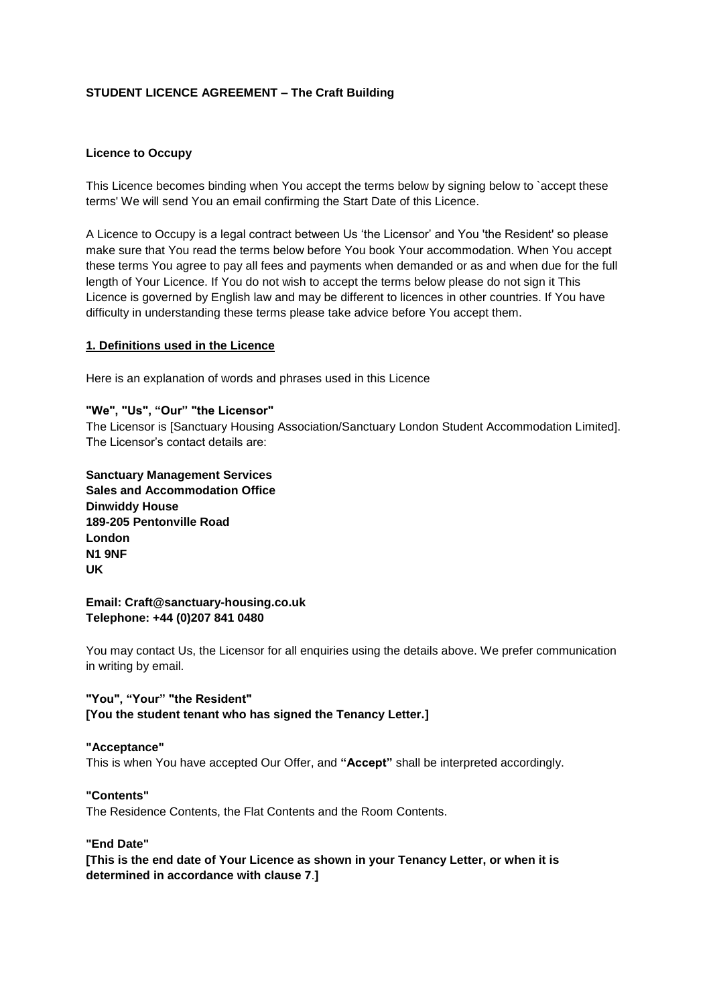# **STUDENT LICENCE AGREEMENT – The Craft Building**

### **Licence to Occupy**

This Licence becomes binding when You accept the terms below by signing below to `accept these terms' We will send You an email confirming the Start Date of this Licence.

A Licence to Occupy is a legal contract between Us 'the Licensor' and You 'the Resident' so please make sure that You read the terms below before You book Your accommodation. When You accept these terms You agree to pay all fees and payments when demanded or as and when due for the full length of Your Licence. If You do not wish to accept the terms below please do not sign it This Licence is governed by English law and may be different to licences in other countries. If You have difficulty in understanding these terms please take advice before You accept them.

### **1. Definitions used in the Licence**

Here is an explanation of words and phrases used in this Licence

### **"We", "Us", "Our" "the Licensor"**

The Licensor is [Sanctuary Housing Association/Sanctuary London Student Accommodation Limited]. The Licensor's contact details are:

**Sanctuary Management Services Sales and Accommodation Office Dinwiddy House 189-205 Pentonville Road London N1 9NF UK**

#### **Email: Craft@sanctuary-housing.co.uk Telephone: +44 (0)207 841 0480**

You may contact Us, the Licensor for all enquiries using the details above. We prefer communication in writing by email.

## **"You", "Your" "the Resident" [You the student tenant who has signed the Tenancy Letter.]**

#### **"Acceptance"**

This is when You have accepted Our Offer, and **"Accept"** shall be interpreted accordingly.

# **"Contents"**

The Residence Contents, the Flat Contents and the Room Contents.

#### **"End Date"**

**[This is the end date of Your Licence as shown in your Tenancy Letter, or when it is determined in accordance with clause 7**.**]**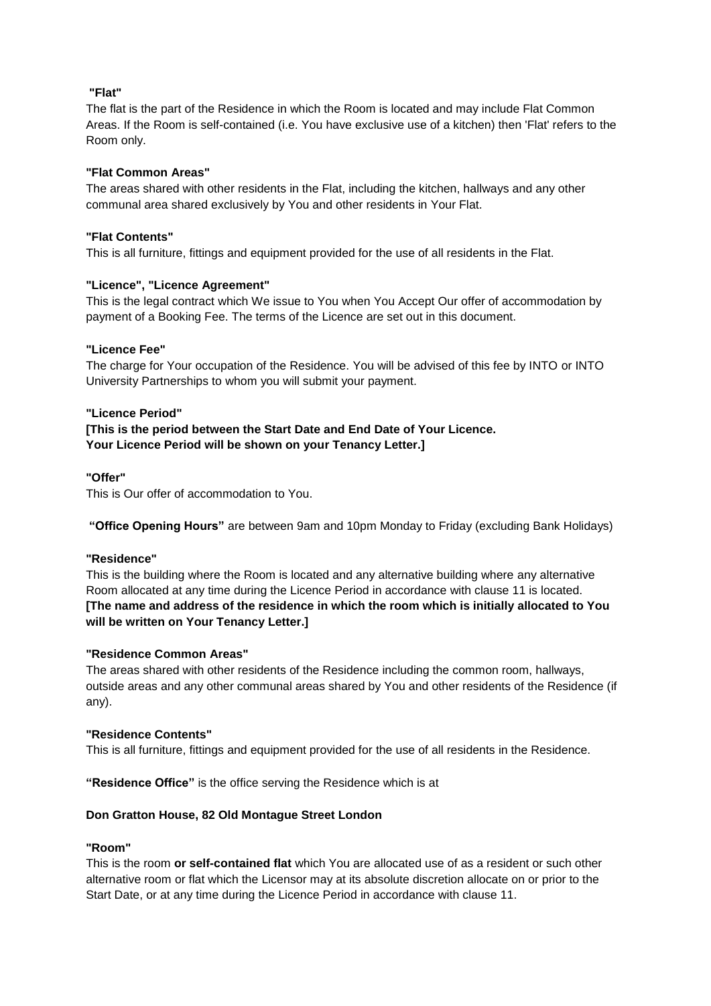# **"Flat"**

The flat is the part of the Residence in which the Room is located and may include Flat Common Areas. If the Room is self-contained (i.e. You have exclusive use of a kitchen) then 'Flat' refers to the Room only.

## **"Flat Common Areas"**

The areas shared with other residents in the Flat, including the kitchen, hallways and any other communal area shared exclusively by You and other residents in Your Flat.

### **"Flat Contents"**

This is all furniture, fittings and equipment provided for the use of all residents in the Flat.

### **"Licence", "Licence Agreement"**

This is the legal contract which We issue to You when You Accept Our offer of accommodation by payment of a Booking Fee. The terms of the Licence are set out in this document.

### **"Licence Fee"**

The charge for Your occupation of the Residence. You will be advised of this fee by INTO or INTO University Partnerships to whom you will submit your payment.

### **"Licence Period"**

**[This is the period between the Start Date and End Date of Your Licence. Your Licence Period will be shown on your Tenancy Letter.]**

### **"Offer"**

This is Our offer of accommodation to You.

**"Office Opening Hours"** are between 9am and 10pm Monday to Friday (excluding Bank Holidays)

#### **"Residence"**

This is the building where the Room is located and any alternative building where any alternative Room allocated at any time during the Licence Period in accordance with clause 11 is located. **[The name and address of the residence in which the room which is initially allocated to You will be written on Your Tenancy Letter.]**

#### **"Residence Common Areas"**

The areas shared with other residents of the Residence including the common room, hallways, outside areas and any other communal areas shared by You and other residents of the Residence (if any).

#### **"Residence Contents"**

This is all furniture, fittings and equipment provided for the use of all residents in the Residence.

**"Residence Office"** is the office serving the Residence which is at

## **Don Gratton House, 82 Old Montague Street London**

## **"Room"**

This is the room **or self-contained flat** which You are allocated use of as a resident or such other alternative room or flat which the Licensor may at its absolute discretion allocate on or prior to the Start Date, or at any time during the Licence Period in accordance with clause 11.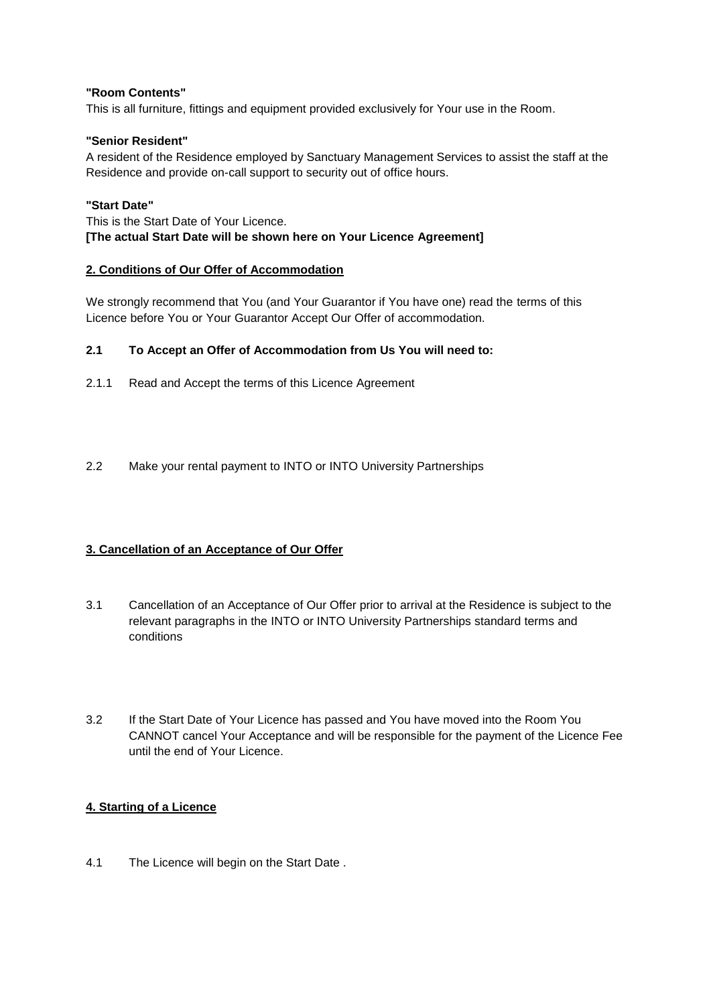## **"Room Contents"**

This is all furniture, fittings and equipment provided exclusively for Your use in the Room.

# **"Senior Resident"**

A resident of the Residence employed by Sanctuary Management Services to assist the staff at the Residence and provide on-call support to security out of office hours.

## **"Start Date"**

This is the Start Date of Your Licence. **[The actual Start Date will be shown here on Your Licence Agreement]**

## **2. Conditions of Our Offer of Accommodation**

We strongly recommend that You (and Your Guarantor if You have one) read the terms of this Licence before You or Your Guarantor Accept Our Offer of accommodation.

# **2.1 To Accept an Offer of Accommodation from Us You will need to:**

- 2.1.1 Read and Accept the terms of this Licence Agreement
- 2.2 Make your rental payment to INTO or INTO University Partnerships

# **3. Cancellation of an Acceptance of Our Offer**

- 3.1 Cancellation of an Acceptance of Our Offer prior to arrival at the Residence is subject to the relevant paragraphs in the INTO or INTO University Partnerships standard terms and conditions
- 3.2 If the Start Date of Your Licence has passed and You have moved into the Room You CANNOT cancel Your Acceptance and will be responsible for the payment of the Licence Fee until the end of Your Licence.

## **4. Starting of a Licence**

4.1 The Licence will begin on the Start Date .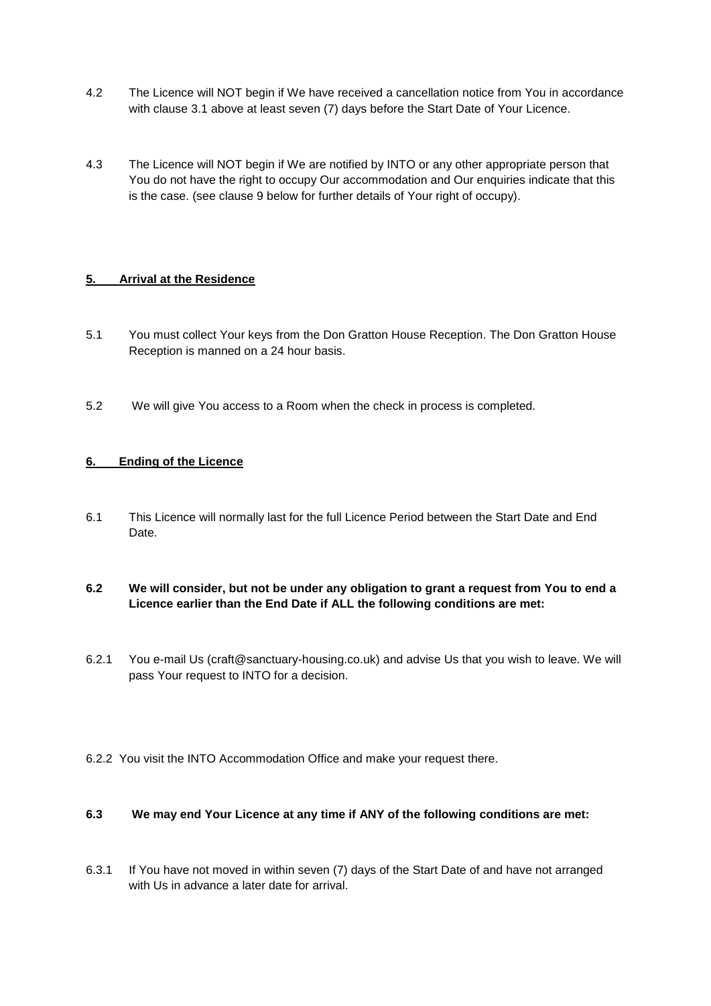- 4.2 The Licence will NOT begin if We have received a cancellation notice from You in accordance with clause 3.1 above at least seven (7) days before the Start Date of Your Licence.
- 4.3 The Licence will NOT begin if We are notified by INTO or any other appropriate person that You do not have the right to occupy Our accommodation and Our enquiries indicate that this is the case. (see clause 9 below for further details of Your right of occupy).

# **5. Arrival at the Residence**

- 5.1 You must collect Your keys from the Don Gratton House Reception. The Don Gratton House Reception is manned on a 24 hour basis.
- 5.2 We will give You access to a Room when the check in process is completed.

# **6. Ending of the Licence**

6.1 This Licence will normally last for the full Licence Period between the Start Date and End Date.

# **6.2 We will consider, but not be under any obligation to grant a request from You to end a Licence earlier than the End Date if ALL the following conditions are met:**

- 6.2.1 You e-mail Us (craft@sanctuary-housing.co.uk) and advise Us that you wish to leave. We will pass Your request to INTO for a decision.
- 6.2.2 You visit the INTO Accommodation Office and make your request there.

## **6.3 We may end Your Licence at any time if ANY of the following conditions are met:**

6.3.1 If You have not moved in within seven (7) days of the Start Date of and have not arranged with Us in advance a later date for arrival.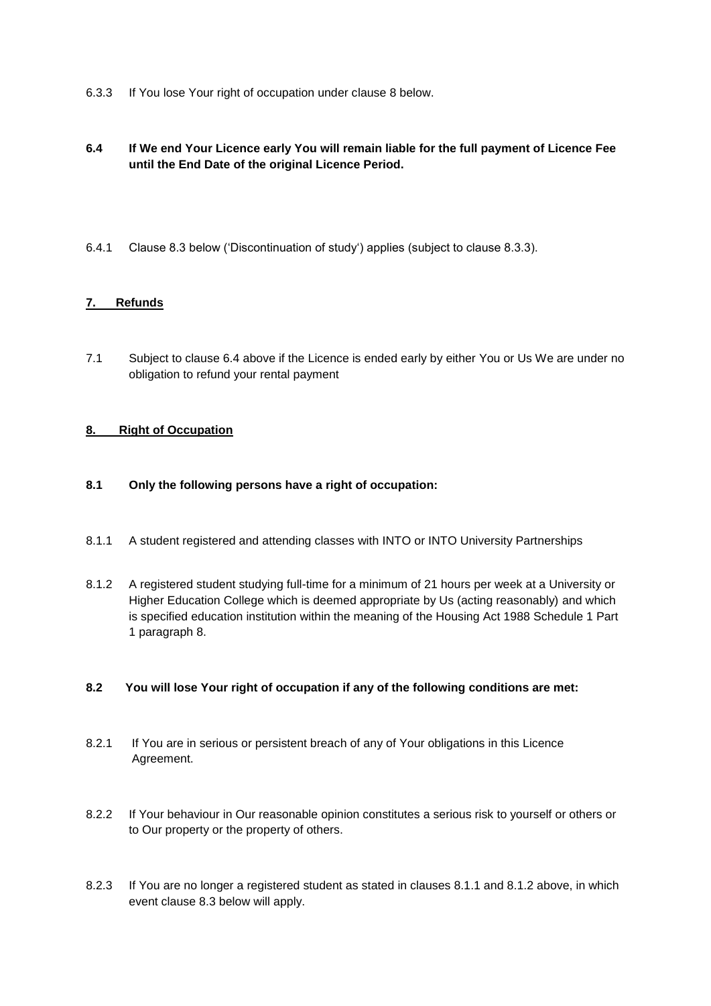6.3.3 If You lose Your right of occupation under clause 8 below.

# **6.4 If We end Your Licence early You will remain liable for the full payment of Licence Fee until the End Date of the original Licence Period.**

6.4.1 Clause 8.3 below ('Discontinuation of study') applies (subject to clause 8.3.3).

# **7. Refunds**

7.1 Subject to clause 6.4 above if the Licence is ended early by either You or Us We are under no obligation to refund your rental payment

## **8. Right of Occupation**

- **8.1 Only the following persons have a right of occupation:**
- 8.1.1 A student registered and attending classes with INTO or INTO University Partnerships
- 8.1.2 A registered student studying full-time for a minimum of 21 hours per week at a University or Higher Education College which is deemed appropriate by Us (acting reasonably) and which is specified education institution within the meaning of the Housing Act 1988 Schedule 1 Part 1 paragraph 8.

## **8.2 You will lose Your right of occupation if any of the following conditions are met:**

- 8.2.1 If You are in serious or persistent breach of any of Your obligations in this Licence Agreement.
- 8.2.2 If Your behaviour in Our reasonable opinion constitutes a serious risk to yourself or others or to Our property or the property of others.
- 8.2.3 If You are no longer a registered student as stated in clauses 8.1.1 and 8.1.2 above, in which event clause 8.3 below will apply.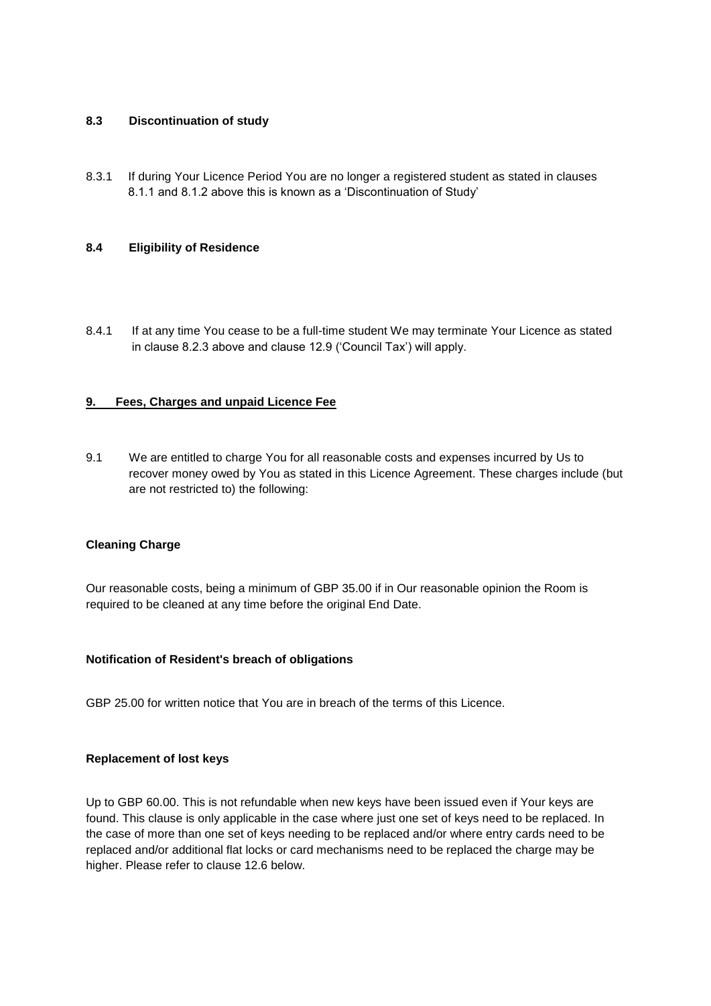## **8.3 Discontinuation of study**

8.3.1 If during Your Licence Period You are no longer a registered student as stated in clauses 8.1.1 and 8.1.2 above this is known as a 'Discontinuation of Study'

### **8.4 Eligibility of Residence**

8.4.1 If at any time You cease to be a full-time student We may terminate Your Licence as stated in clause 8.2.3 above and clause 12.9 ('Council Tax') will apply.

### **9. Fees, Charges and unpaid Licence Fee**

9.1 We are entitled to charge You for all reasonable costs and expenses incurred by Us to recover money owed by You as stated in this Licence Agreement. These charges include (but are not restricted to) the following:

#### **Cleaning Charge**

Our reasonable costs, being a minimum of GBP 35.00 if in Our reasonable opinion the Room is required to be cleaned at any time before the original End Date.

#### **Notification of Resident's breach of obligations**

GBP 25.00 for written notice that You are in breach of the terms of this Licence.

#### **Replacement of lost keys**

Up to GBP 60.00. This is not refundable when new keys have been issued even if Your keys are found. This clause is only applicable in the case where just one set of keys need to be replaced. In the case of more than one set of keys needing to be replaced and/or where entry cards need to be replaced and/or additional flat locks or card mechanisms need to be replaced the charge may be higher. Please refer to clause 12.6 below.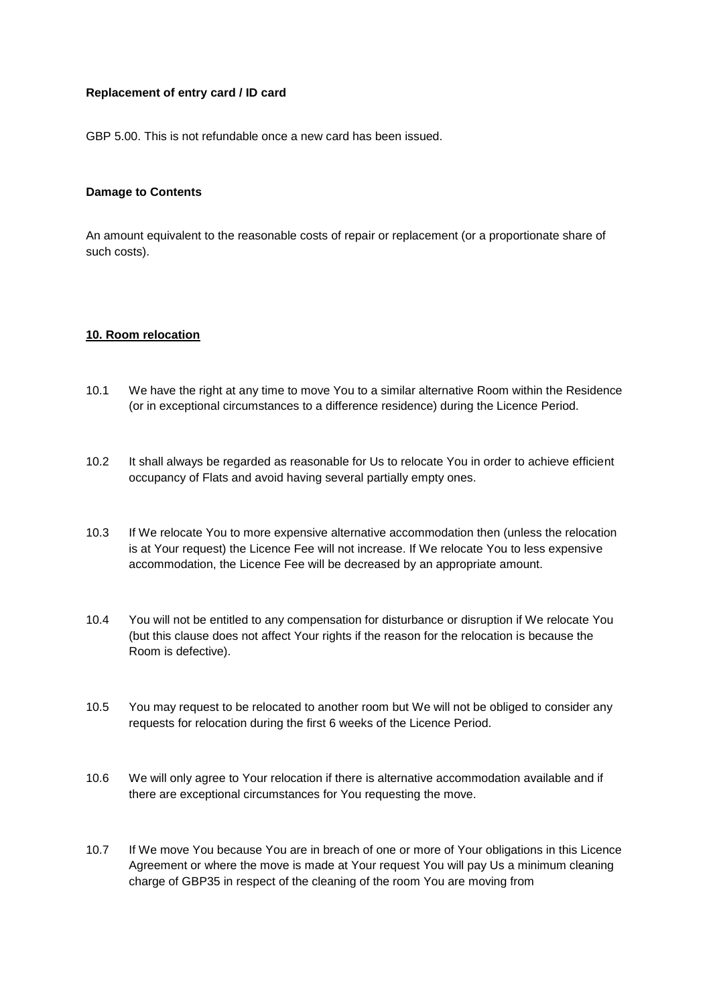## **Replacement of entry card / ID card**

GBP 5.00. This is not refundable once a new card has been issued.

#### **Damage to Contents**

An amount equivalent to the reasonable costs of repair or replacement (or a proportionate share of such costs).

### **10. Room relocation**

- 10.1 We have the right at any time to move You to a similar alternative Room within the Residence (or in exceptional circumstances to a difference residence) during the Licence Period.
- 10.2 It shall always be regarded as reasonable for Us to relocate You in order to achieve efficient occupancy of Flats and avoid having several partially empty ones.
- 10.3 If We relocate You to more expensive alternative accommodation then (unless the relocation is at Your request) the Licence Fee will not increase. If We relocate You to less expensive accommodation, the Licence Fee will be decreased by an appropriate amount.
- 10.4 You will not be entitled to any compensation for disturbance or disruption if We relocate You (but this clause does not affect Your rights if the reason for the relocation is because the Room is defective).
- 10.5 You may request to be relocated to another room but We will not be obliged to consider any requests for relocation during the first 6 weeks of the Licence Period.
- 10.6 We will only agree to Your relocation if there is alternative accommodation available and if there are exceptional circumstances for You requesting the move.
- 10.7 If We move You because You are in breach of one or more of Your obligations in this Licence Agreement or where the move is made at Your request You will pay Us a minimum cleaning charge of GBP35 in respect of the cleaning of the room You are moving from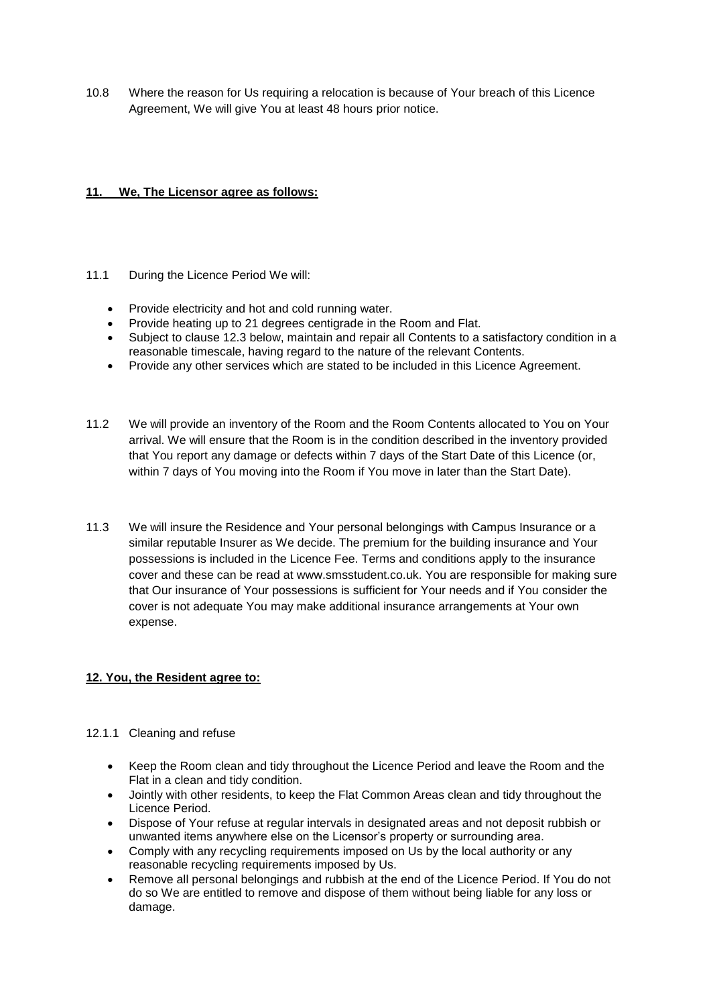10.8 Where the reason for Us requiring a relocation is because of Your breach of this Licence Agreement, We will give You at least 48 hours prior notice.

# **11. We, The Licensor agree as follows:**

- 11.1 During the Licence Period We will:
	- Provide electricity and hot and cold running water.
	- Provide heating up to 21 degrees centigrade in the Room and Flat.
	- Subject to clause 12.3 below, maintain and repair all Contents to a satisfactory condition in a reasonable timescale, having regard to the nature of the relevant Contents.
	- Provide any other services which are stated to be included in this Licence Agreement.
- 11.2 We will provide an inventory of the Room and the Room Contents allocated to You on Your arrival. We will ensure that the Room is in the condition described in the inventory provided that You report any damage or defects within 7 days of the Start Date of this Licence (or, within 7 days of You moving into the Room if You move in later than the Start Date).
- 11.3 We will insure the Residence and Your personal belongings with Campus Insurance or a similar reputable Insurer as We decide. The premium for the building insurance and Your possessions is included in the Licence Fee. Terms and conditions apply to the insurance cover and these can be read at www.smsstudent.co.uk. You are responsible for making sure that Our insurance of Your possessions is sufficient for Your needs and if You consider the cover is not adequate You may make additional insurance arrangements at Your own expense.

## **12. You, the Resident agree to:**

- 12.1.1 Cleaning and refuse
	- Keep the Room clean and tidy throughout the Licence Period and leave the Room and the Flat in a clean and tidy condition.
	- Jointly with other residents, to keep the Flat Common Areas clean and tidy throughout the Licence Period.
	- Dispose of Your refuse at regular intervals in designated areas and not deposit rubbish or unwanted items anywhere else on the Licensor's property or surrounding area.
	- Comply with any recycling requirements imposed on Us by the local authority or any reasonable recycling requirements imposed by Us.
	- Remove all personal belongings and rubbish at the end of the Licence Period. If You do not do so We are entitled to remove and dispose of them without being liable for any loss or damage.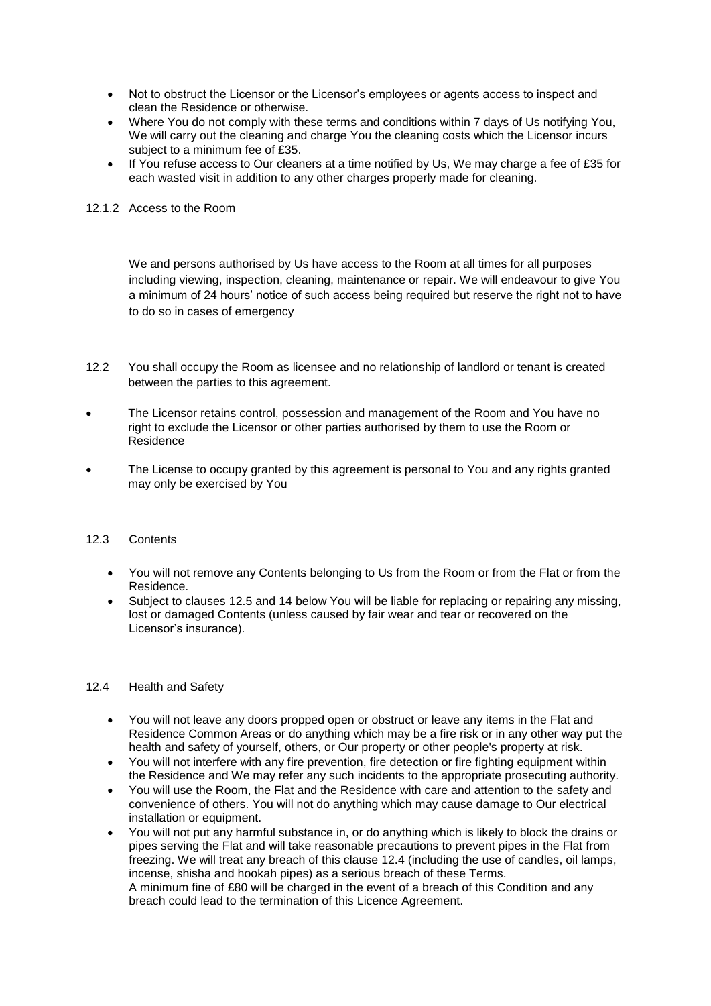- Not to obstruct the Licensor or the Licensor's employees or agents access to inspect and clean the Residence or otherwise.
- Where You do not comply with these terms and conditions within 7 days of Us notifying You, We will carry out the cleaning and charge You the cleaning costs which the Licensor incurs subject to a minimum fee of £35.
- If You refuse access to Our cleaners at a time notified by Us, We may charge a fee of £35 for each wasted visit in addition to any other charges properly made for cleaning.

#### 12.1.2 Access to the Room

We and persons authorised by Us have access to the Room at all times for all purposes including viewing, inspection, cleaning, maintenance or repair. We will endeavour to give You a minimum of 24 hours' notice of such access being required but reserve the right not to have to do so in cases of emergency

- 12.2 You shall occupy the Room as licensee and no relationship of landlord or tenant is created between the parties to this agreement.
- The Licensor retains control, possession and management of the Room and You have no right to exclude the Licensor or other parties authorised by them to use the Room or Residence
- The License to occupy granted by this agreement is personal to You and any rights granted may only be exercised by You

#### 12.3 Contents

- You will not remove any Contents belonging to Us from the Room or from the Flat or from the Residence.
- Subject to clauses 12.5 and 14 below You will be liable for replacing or repairing any missing, lost or damaged Contents (unless caused by fair wear and tear or recovered on the Licensor's insurance).

#### 12.4 Health and Safety

- You will not leave any doors propped open or obstruct or leave any items in the Flat and Residence Common Areas or do anything which may be a fire risk or in any other way put the health and safety of yourself, others, or Our property or other people's property at risk.
- You will not interfere with any fire prevention, fire detection or fire fighting equipment within the Residence and We may refer any such incidents to the appropriate prosecuting authority.
- You will use the Room, the Flat and the Residence with care and attention to the safety and convenience of others. You will not do anything which may cause damage to Our electrical installation or equipment.
- You will not put any harmful substance in, or do anything which is likely to block the drains or pipes serving the Flat and will take reasonable precautions to prevent pipes in the Flat from freezing. We will treat any breach of this clause 12.4 (including the use of candles, oil lamps, incense, shisha and hookah pipes) as a serious breach of these Terms. A minimum fine of £80 will be charged in the event of a breach of this Condition and any breach could lead to the termination of this Licence Agreement.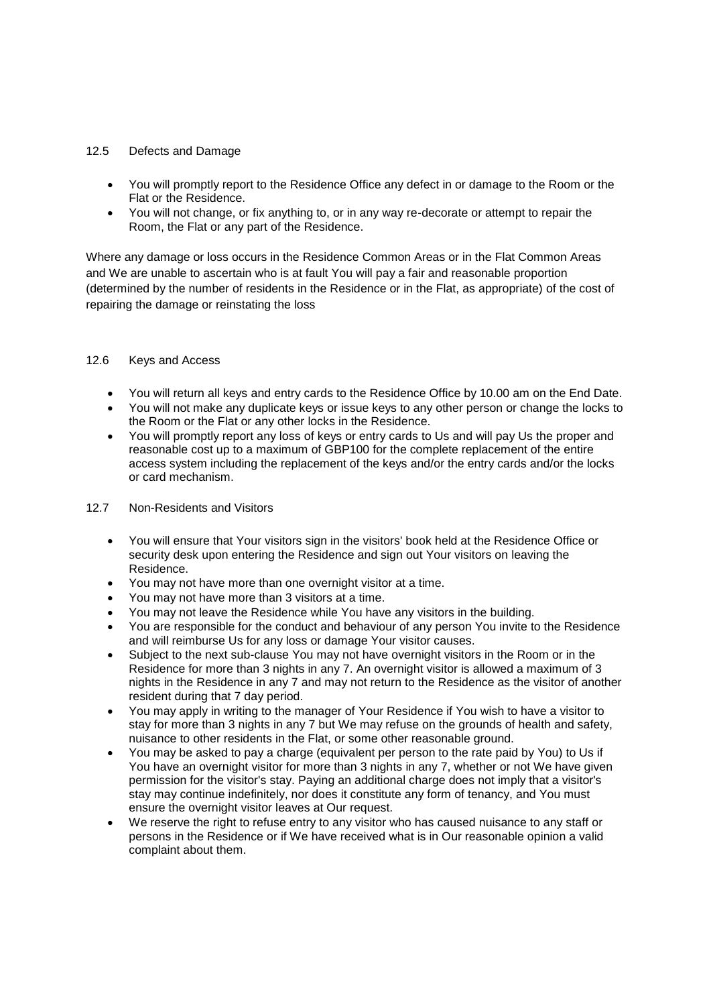### 12.5 Defects and Damage

- You will promptly report to the Residence Office any defect in or damage to the Room or the Flat or the Residence.
- You will not change, or fix anything to, or in any way re-decorate or attempt to repair the Room, the Flat or any part of the Residence.

Where any damage or loss occurs in the Residence Common Areas or in the Flat Common Areas and We are unable to ascertain who is at fault You will pay a fair and reasonable proportion (determined by the number of residents in the Residence or in the Flat, as appropriate) of the cost of repairing the damage or reinstating the loss

### 12.6 Keys and Access

- You will return all keys and entry cards to the Residence Office by 10.00 am on the End Date.
- You will not make any duplicate keys or issue keys to any other person or change the locks to the Room or the Flat or any other locks in the Residence.
- You will promptly report any loss of keys or entry cards to Us and will pay Us the proper and reasonable cost up to a maximum of GBP100 for the complete replacement of the entire access system including the replacement of the keys and/or the entry cards and/or the locks or card mechanism.

#### 12.7 Non-Residents and Visitors

- You will ensure that Your visitors sign in the visitors' book held at the Residence Office or security desk upon entering the Residence and sign out Your visitors on leaving the Residence.
- You may not have more than one overnight visitor at a time.
- You may not have more than 3 visitors at a time.
- You may not leave the Residence while You have any visitors in the building.
- You are responsible for the conduct and behaviour of any person You invite to the Residence and will reimburse Us for any loss or damage Your visitor causes.
- Subject to the next sub-clause You may not have overnight visitors in the Room or in the Residence for more than 3 nights in any 7. An overnight visitor is allowed a maximum of 3 nights in the Residence in any 7 and may not return to the Residence as the visitor of another resident during that 7 day period.
- You may apply in writing to the manager of Your Residence if You wish to have a visitor to stay for more than 3 nights in any 7 but We may refuse on the grounds of health and safety, nuisance to other residents in the Flat, or some other reasonable ground.
- You may be asked to pay a charge (equivalent per person to the rate paid by You) to Us if You have an overnight visitor for more than 3 nights in any 7, whether or not We have given permission for the visitor's stay. Paying an additional charge does not imply that a visitor's stay may continue indefinitely, nor does it constitute any form of tenancy, and You must ensure the overnight visitor leaves at Our request.
- We reserve the right to refuse entry to any visitor who has caused nuisance to any staff or persons in the Residence or if We have received what is in Our reasonable opinion a valid complaint about them.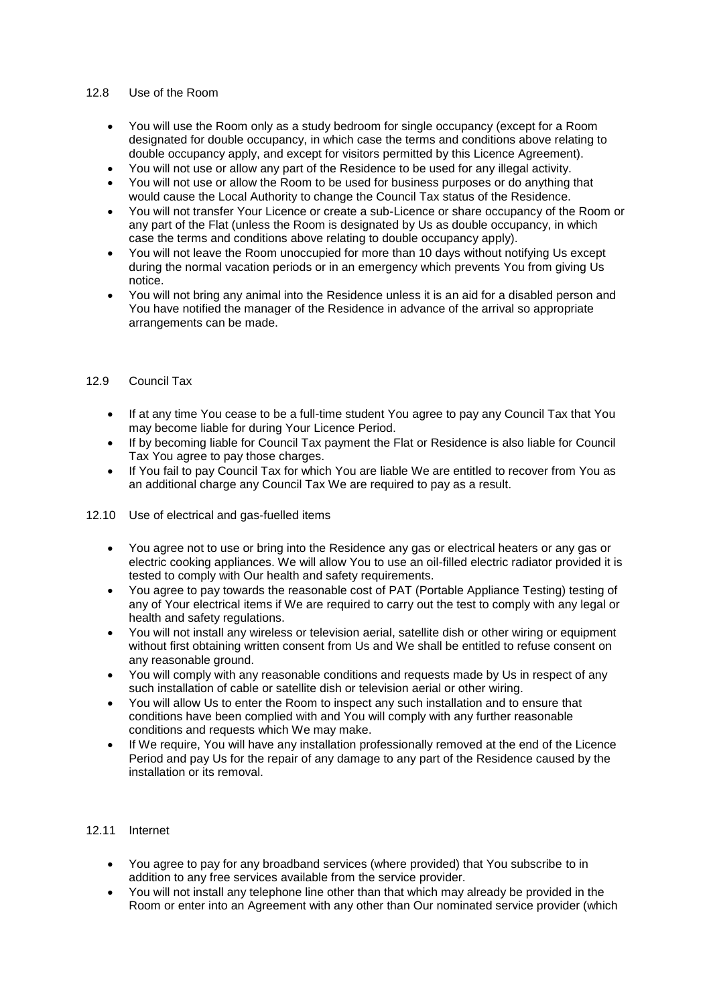### 12.8 Use of the Room

- You will use the Room only as a study bedroom for single occupancy (except for a Room designated for double occupancy, in which case the terms and conditions above relating to double occupancy apply, and except for visitors permitted by this Licence Agreement).
- You will not use or allow any part of the Residence to be used for any illegal activity.
- You will not use or allow the Room to be used for business purposes or do anything that would cause the Local Authority to change the Council Tax status of the Residence.
- You will not transfer Your Licence or create a sub-Licence or share occupancy of the Room or any part of the Flat (unless the Room is designated by Us as double occupancy, in which case the terms and conditions above relating to double occupancy apply).
- You will not leave the Room unoccupied for more than 10 days without notifying Us except during the normal vacation periods or in an emergency which prevents You from giving Us notice.
- You will not bring any animal into the Residence unless it is an aid for a disabled person and You have notified the manager of the Residence in advance of the arrival so appropriate arrangements can be made.

## 12.9 Council Tax

- If at any time You cease to be a full-time student You agree to pay any Council Tax that You may become liable for during Your Licence Period.
- If by becoming liable for Council Tax payment the Flat or Residence is also liable for Council Tax You agree to pay those charges.
- If You fail to pay Council Tax for which You are liable We are entitled to recover from You as an additional charge any Council Tax We are required to pay as a result.
- 12.10 Use of electrical and gas-fuelled items
	- You agree not to use or bring into the Residence any gas or electrical heaters or any gas or electric cooking appliances. We will allow You to use an oil-filled electric radiator provided it is tested to comply with Our health and safety requirements.
	- You agree to pay towards the reasonable cost of PAT (Portable Appliance Testing) testing of any of Your electrical items if We are required to carry out the test to comply with any legal or health and safety regulations.
	- You will not install any wireless or television aerial, satellite dish or other wiring or equipment without first obtaining written consent from Us and We shall be entitled to refuse consent on any reasonable ground.
	- You will comply with any reasonable conditions and requests made by Us in respect of any such installation of cable or satellite dish or television aerial or other wiring.
	- You will allow Us to enter the Room to inspect any such installation and to ensure that conditions have been complied with and You will comply with any further reasonable conditions and requests which We may make.
	- If We require, You will have any installation professionally removed at the end of the Licence Period and pay Us for the repair of any damage to any part of the Residence caused by the installation or its removal.

# 12.11 Internet

- You agree to pay for any broadband services (where provided) that You subscribe to in addition to any free services available from the service provider.
- You will not install any telephone line other than that which may already be provided in the Room or enter into an Agreement with any other than Our nominated service provider (which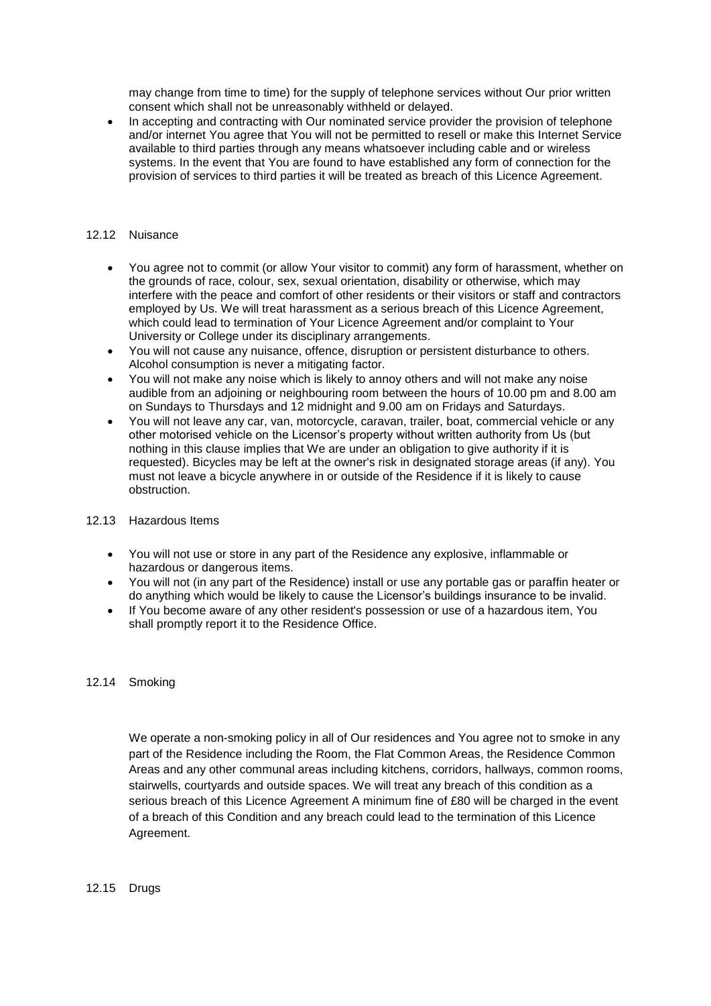may change from time to time) for the supply of telephone services without Our prior written consent which shall not be unreasonably withheld or delayed.

• In accepting and contracting with Our nominated service provider the provision of telephone and/or internet You agree that You will not be permitted to resell or make this Internet Service available to third parties through any means whatsoever including cable and or wireless systems. In the event that You are found to have established any form of connection for the provision of services to third parties it will be treated as breach of this Licence Agreement.

### 12.12 Nuisance

- You agree not to commit (or allow Your visitor to commit) any form of harassment, whether on the grounds of race, colour, sex, sexual orientation, disability or otherwise, which may interfere with the peace and comfort of other residents or their visitors or staff and contractors employed by Us. We will treat harassment as a serious breach of this Licence Agreement, which could lead to termination of Your Licence Agreement and/or complaint to Your University or College under its disciplinary arrangements.
- You will not cause any nuisance, offence, disruption or persistent disturbance to others. Alcohol consumption is never a mitigating factor.
- You will not make any noise which is likely to annoy others and will not make any noise audible from an adjoining or neighbouring room between the hours of 10.00 pm and 8.00 am on Sundays to Thursdays and 12 midnight and 9.00 am on Fridays and Saturdays.
- You will not leave any car, van, motorcycle, caravan, trailer, boat, commercial vehicle or any other motorised vehicle on the Licensor's property without written authority from Us (but nothing in this clause implies that We are under an obligation to give authority if it is requested). Bicycles may be left at the owner's risk in designated storage areas (if any). You must not leave a bicycle anywhere in or outside of the Residence if it is likely to cause obstruction.

#### 12.13 Hazardous Items

- You will not use or store in any part of the Residence any explosive, inflammable or hazardous or dangerous items.
- You will not (in any part of the Residence) install or use any portable gas or paraffin heater or do anything which would be likely to cause the Licensor's buildings insurance to be invalid.
- If You become aware of any other resident's possession or use of a hazardous item, You shall promptly report it to the Residence Office.

## 12.14 Smoking

We operate a non-smoking policy in all of Our residences and You agree not to smoke in any part of the Residence including the Room, the Flat Common Areas, the Residence Common Areas and any other communal areas including kitchens, corridors, hallways, common rooms, stairwells, courtyards and outside spaces. We will treat any breach of this condition as a serious breach of this Licence Agreement A minimum fine of £80 will be charged in the event of a breach of this Condition and any breach could lead to the termination of this Licence Agreement.

## 12.15 Drugs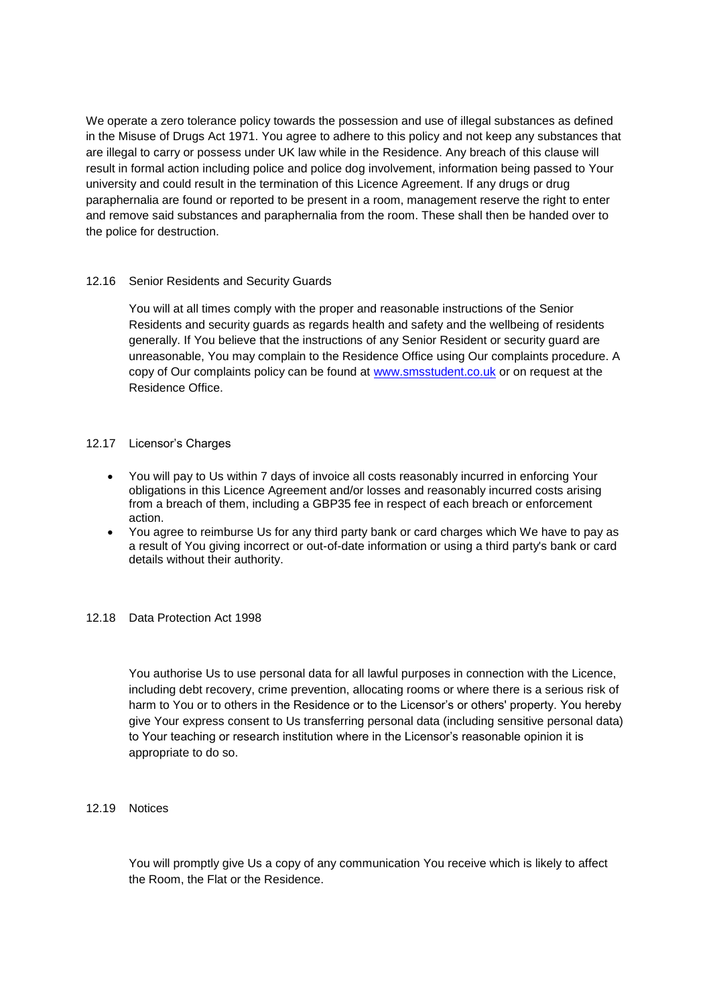We operate a zero tolerance policy towards the possession and use of illegal substances as defined in the Misuse of Drugs Act 1971. You agree to adhere to this policy and not keep any substances that are illegal to carry or possess under UK law while in the Residence. Any breach of this clause will result in formal action including police and police dog involvement, information being passed to Your university and could result in the termination of this Licence Agreement. If any drugs or drug paraphernalia are found or reported to be present in a room, management reserve the right to enter and remove said substances and paraphernalia from the room. These shall then be handed over to the police for destruction.

## 12.16 Senior Residents and Security Guards

You will at all times comply with the proper and reasonable instructions of the Senior Residents and security guards as regards health and safety and the wellbeing of residents generally. If You believe that the instructions of any Senior Resident or security guard are unreasonable, You may complain to the Residence Office using Our complaints procedure. A copy of Our complaints policy can be found at [www.smsstudent.co.uk](http://www.smsstudent.co.uk/) or on request at the Residence Office.

### 12.17 Licensor's Charges

- You will pay to Us within 7 days of invoice all costs reasonably incurred in enforcing Your obligations in this Licence Agreement and/or losses and reasonably incurred costs arising from a breach of them, including a GBP35 fee in respect of each breach or enforcement action.
- You agree to reimburse Us for any third party bank or card charges which We have to pay as a result of You giving incorrect or out-of-date information or using a third party's bank or card details without their authority.

#### 12.18 Data Protection Act 1998

You authorise Us to use personal data for all lawful purposes in connection with the Licence, including debt recovery, crime prevention, allocating rooms or where there is a serious risk of harm to You or to others in the Residence or to the Licensor's or others' property. You hereby give Your express consent to Us transferring personal data (including sensitive personal data) to Your teaching or research institution where in the Licensor's reasonable opinion it is appropriate to do so.

12.19 Notices

You will promptly give Us a copy of any communication You receive which is likely to affect the Room, the Flat or the Residence.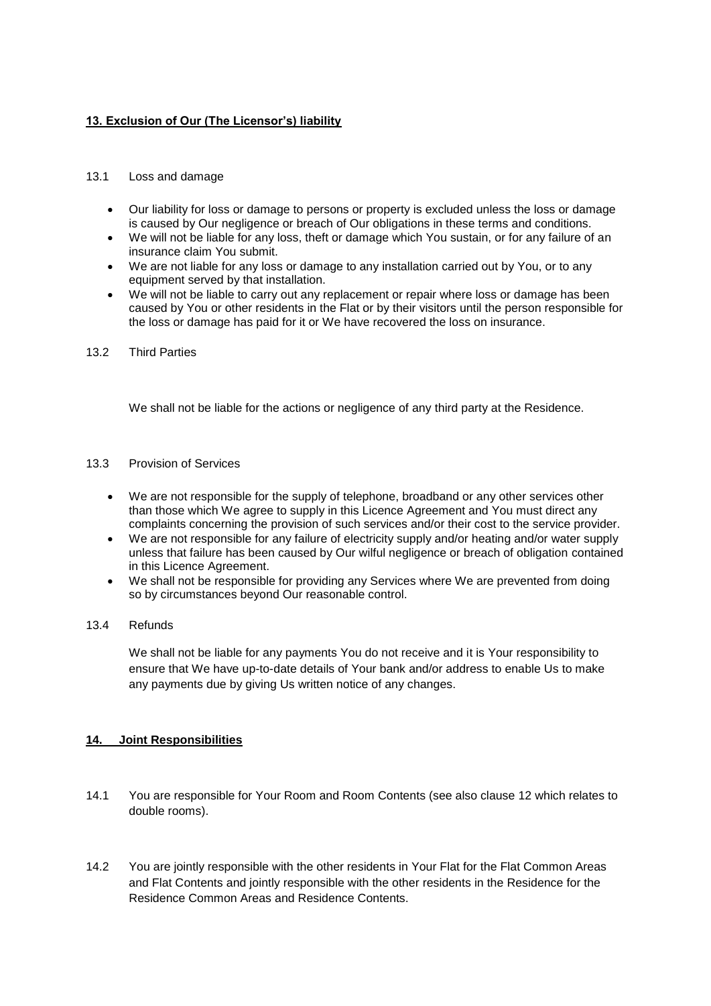# **13. Exclusion of Our (The Licensor's) liability**

### 13.1 Loss and damage

- Our liability for loss or damage to persons or property is excluded unless the loss or damage is caused by Our negligence or breach of Our obligations in these terms and conditions.
- We will not be liable for any loss, theft or damage which You sustain, or for any failure of an insurance claim You submit.
- We are not liable for any loss or damage to any installation carried out by You, or to any equipment served by that installation.
- We will not be liable to carry out any replacement or repair where loss or damage has been caused by You or other residents in the Flat or by their visitors until the person responsible for the loss or damage has paid for it or We have recovered the loss on insurance.
- 13.2 Third Parties

We shall not be liable for the actions or negligence of any third party at the Residence.

- 13.3 Provision of Services
	- We are not responsible for the supply of telephone, broadband or any other services other than those which We agree to supply in this Licence Agreement and You must direct any complaints concerning the provision of such services and/or their cost to the service provider.
	- We are not responsible for any failure of electricity supply and/or heating and/or water supply unless that failure has been caused by Our wilful negligence or breach of obligation contained in this Licence Agreement.
	- We shall not be responsible for providing any Services where We are prevented from doing so by circumstances beyond Our reasonable control.

#### 13.4 Refunds

We shall not be liable for any payments You do not receive and it is Your responsibility to ensure that We have up-to-date details of Your bank and/or address to enable Us to make any payments due by giving Us written notice of any changes.

## **14. Joint Responsibilities**

- 14.1 You are responsible for Your Room and Room Contents (see also clause 12 which relates to double rooms).
- 14.2 You are jointly responsible with the other residents in Your Flat for the Flat Common Areas and Flat Contents and jointly responsible with the other residents in the Residence for the Residence Common Areas and Residence Contents.